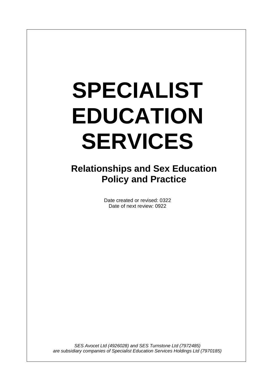# **SPECIALIST EDUCATION SERVICES**

### **Relationships and Sex Education Policy and Practice**

Date created or revised: 0322 Date of next review: 0922

*SES Avocet Ltd (4926028) and SES Turnstone Ltd (7972485) are subsidiary companies of Specialist Education Services Holdings Ltd (7970185)*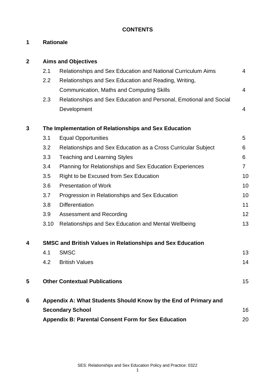#### **CONTENTS**

#### **1 Rationale**

| $\mathbf{2}$ | <b>Aims and Objectives</b>                                        |                                                                    |                |  |
|--------------|-------------------------------------------------------------------|--------------------------------------------------------------------|----------------|--|
|              | 2.1                                                               | Relationships and Sex Education and National Curriculum Aims       | $\overline{4}$ |  |
|              | 2.2                                                               | Relationships and Sex Education and Reading, Writing,              |                |  |
|              |                                                                   | Communication, Maths and Computing Skills                          | 4              |  |
|              | 2.3                                                               | Relationships and Sex Education and Personal, Emotional and Social |                |  |
|              |                                                                   | Development                                                        | 4              |  |
| 3            | The Implementation of Relationships and Sex Education             |                                                                    |                |  |
|              | 3.1                                                               | <b>Equal Opportunities</b>                                         | 5              |  |
|              | 3.2                                                               | Relationships and Sex Education as a Cross Curricular Subject      | 6              |  |
|              | 3.3                                                               | <b>Teaching and Learning Styles</b>                                | 6              |  |
|              | 3.4                                                               | <b>Planning for Relationships and Sex Education Experiences</b>    | $\overline{7}$ |  |
|              | 3.5                                                               | Right to be Excused from Sex Education                             | 10             |  |
|              | 3.6                                                               | <b>Presentation of Work</b>                                        | 10             |  |
|              | 3.7                                                               | Progression in Relationships and Sex Education                     | 10             |  |
|              | 3.8                                                               | Differentiation                                                    | 11             |  |
|              | 3.9                                                               | <b>Assessment and Recording</b>                                    | 12             |  |
|              | 3.10                                                              | Relationships and Sex Education and Mental Wellbeing               | 13             |  |
| 4            | <b>SMSC and British Values in Relationships and Sex Education</b> |                                                                    |                |  |
|              | 4.1                                                               | <b>SMSC</b>                                                        | 13             |  |
|              | 4.2                                                               | <b>British Values</b>                                              | 14             |  |
| 5            |                                                                   | <b>Other Contextual Publications</b>                               | 15             |  |
| 6            |                                                                   | Appendix A: What Students Should Know by the End of Primary and    |                |  |
|              | <b>Secondary School</b>                                           |                                                                    | 16             |  |
|              | <b>Appendix B: Parental Consent Form for Sex Education</b>        |                                                                    | 20             |  |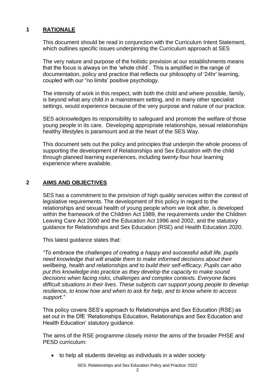#### **1 RATIONALE**

This document should be read in conjunction with the Curriculum Intent Statement, which outlines specific issues underpinning the Curriculum approach at SES

The very nature and purpose of the holistic provision at our establishments means that the focus is always on the 'whole child'. This is amplified in the range of documentation, policy and practice that reflects our philosophy of '24hr' learning, coupled with our "no limits' positive psychology.

The intensity of work in this respect, with both the child and where possible, family, is beyond what any child in a mainstream setting, and in many other specialist settings, would experience because of the very purpose and nature of our practice.

SES acknowledges its responsibility to safeguard and promote the welfare of those young people in its care. Developing appropriate relationships, sexual relationships healthy lifestyles is paramount and at the heart of the SES Way.

This document sets out the policy and principles that underpin the whole process of supporting the development of Relationships and Sex Education with the child through planned learning experiences, including twenty-four hour learning experience where available.

#### **2 AIMS AND OBJECTIVES**

SES has a commitment to the provision of high quality services within the context of legislative requirements. The development of this policy in regard to the relationships and sexual health of young people whom we look after, is developed within the framework of the Children Act 1989, the requirements under the Children Leaving Care Act 2000 and the Education Act 1996 and 2002, and the statutory guidance for Relationships and Sex Education (RSE) and Health Education 2020.

This latest guidance states that:

*"To embrace the challenges of creating a happy and successful adult life, pupils need knowledge that will enable them to make informed decisions about their wellbeing, health and relationships and to build their self-efficacy. Pupils can also put this knowledge into practice as they develop the capacity to make sound decisions when facing risks, challenges and complex contexts. Everyone faces difficult situations in their lives. These subjects can support young people to develop resilience, to know how and when to ask for help, and to know where to access support."*

This policy covers SES's approach to Relationships and Sex Education (RSE) as set out in the DfE 'Relationships Education, Relationships and Sex Education and Health Education' statutory guidance.

The aims of the RSE programme closely mirror the aims of the broader PHSE and PESD curriculum:

• to help all students develop as individuals in a wider society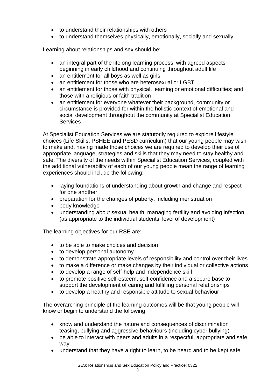- to understand their relationships with others
- to understand themselves physically, emotionally, socially and sexually

Learning about relationships and sex should be:

- an integral part of the lifelong learning process, with agreed aspects beginning in early childhood and continuing throughout adult life
- an entitlement for all boys as well as girls
- an entitlement for those who are heterosexual or LGBT
- an entitlement for those with physical, learning or emotional difficulties; and those with a religious or faith tradition
- an entitlement for everyone whatever their background, community or circumstance is provided for within the holistic context of emotional and social development throughout the community at Specialist Education **Services**

At Specialist Education Services we are statutorily required to explore lifestyle choices (Life Skills, PSHEE and PESD curriculum) that our young people may wish to make and, having made those choices we are required to develop their use of appropriate language, strategies and skills that they may need to stay healthy and safe. The diversity of the needs within Specialist Education Services, coupled with the additional vulnerability of each of our young people mean the range of learning experiences should include the following:

- laying foundations of understanding about growth and change and respect for one another
- preparation for the changes of puberty, including menstruation
- body knowledge
- understanding about sexual health, managing fertility and avoiding infection (as appropriate to the individual students' level of development)

The learning objectives for our RSE are:

- to be able to make choices and decision
- to develop personal autonomy
- to demonstrate appropriate levels of responsibility and control over their lives
- to make a difference or make changes by their individual or collective actions
- to develop a range of self-help and independence skill
- to promote positive self-esteem, self-confidence and a secure base to support the development of caring and fulfilling personal relationships
- to develop a healthy and responsible attitude to sexual behaviour

The overarching principle of the learning outcomes will be that young people will know or begin to understand the following:

- know and understand the nature and consequences of discrimination teasing, bullying and aggressive behaviours (including cyber bullying)
- be able to interact with peers and adults in a respectful, appropriate and safe way
- understand that they have a right to learn, to be heard and to be kept safe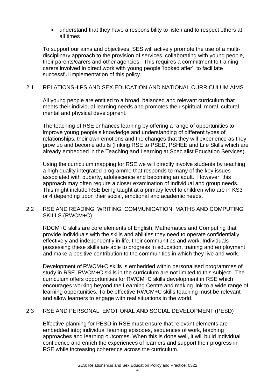• understand that they have a responsibility to listen and to respect others at all times

To support our aims and objectives, SES will actively promote the use of a multidisciplinary approach to the provision of services, collaborating with young people, their parents/carers and other agencies. This requires a commitment to training carers involved in direct work with young people 'looked after', to facilitate successful implementation of this policy.

#### 2.1 RELATIONSHIPS AND SEX EDUCATION AND NATIONAL CURRICULUM AIMS

All young people are entitled to a broad, balanced and relevant curriculum that meets their individual learning needs and promotes their spiritual, moral, cultural, mental and physical development.

The teaching of RSE enhances learning by offering a range of opportunities to improve young people's knowledge and understanding of different types of relationships, their own emotions and the changes that they will experience as they grow up and become adults (linking RSE to PSED, PSHEE and Life Skills which are already embedded in the Teaching and Learning at Specialist Education Services).

Using the curriculum mapping for RSE we will directly involve students by teaching a high quality integrated programme that responds to many of the key issues associated with puberty, adolescence and becoming an adult. However, this approach may often require a closer examination of individual and group needs. This might include RSE being taught at a primary level to children who are in KS3 or 4 depending upon their social, emotional and academic needs.

#### 2.2 RSE AND READING, WRITING, COMMUNICATION, MATHS AND COMPUTING SKILLS (RWCM+C)

RDCM+C skills are core elements of English, Mathematics and Computing that provide individuals with the skills and abilities they need to operate confidentially, effectively and independently in life, their communities and work. Individuals possessing these skills are able to progress in education, training and employment and make a positive contribution to the communities in which they live and work.

Development of RWCM+C skills is embedded within personalised programmes of study in RSE. RWCM+C skills in the curriculum are not limited to this subject. The curriculum offers opportunities for RWCM+C skills development in RSE which encourages working beyond the Learning Centre and making link to a wide range of learning opportunities. To be effective RWCM+C skills teaching must be relevant and allow learners to engage with real situations in the world.

#### 2.3 RSE AND PERSONAL, EMOTIONAL AND SOCIAL DEVELOPMENT (PESD)

Effective planning for PESD in RSE must ensure that relevant elements are embedded into; individual learning episodes, sequences of work, teaching approaches and learning outcomes. When this is done well, it will build individual confidence and enrich the experiences of learners and support their progress in RSE while increasing coherence across the curriculum.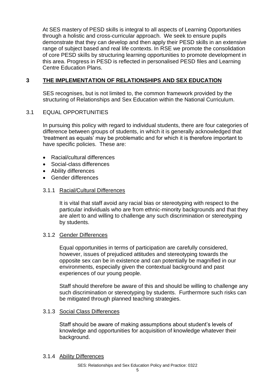At SES mastery of PESD skills is integral to all aspects of Learning Opportunities through a holistic and cross-curricular approach. We seek to ensure pupils demonstrate that they can develop and then apply their PESD skills in an extensive range of subject based and real life contexts. In RSE we promote the consolidation of core PESD skills by structuring learning opportunities to promote development in this area. Progress in PESD is reflected in personalised PESD files and Learning Centre Education Plans.

#### **3 THE IMPLEMENTATION OF RELATIONSHIPS AND SEX EDUCATION**

SES recognises, but is not limited to, the common framework provided by the structuring of Relationships and Sex Education within the National Curriculum.

#### 3.1 EQUAL OPPORTUNITIES

In pursuing this policy with regard to individual students, there are four categories of difference between groups of students, in which it is generally acknowledged that 'treatment as equals' may be problematic and for which it is therefore important to have specific policies. These are:

- Racial/cultural differences
- Social-class differences
- Ability differences
- Gender differences

#### 3.1.1 Racial/Cultural Differences

It is vital that staff avoid any racial bias or stereotyping with respect to the particular individuals who are from ethnic-minority backgrounds and that they are alert to and willing to challenge any such discrimination or stereotyping by students.

#### 3.1.2 Gender Differences

Equal opportunities in terms of participation are carefully considered, however, issues of prejudiced attitudes and stereotyping towards the opposite sex can be in existence and can potentially be magnified in our environments, especially given the contextual background and past experiences of our young people.

Staff should therefore be aware of this and should be willing to challenge any such discrimination or stereotyping by students. Furthermore such risks can be mitigated through planned teaching strategies.

#### 3.1.3 Social Class Differences

Staff should be aware of making assumptions about student's levels of knowledge and opportunities for acquisition of knowledge whatever their background.

#### 3.1.4 Ability Differences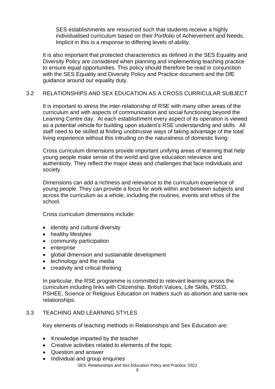SES establishments are resourced such that students receive a highly individualised curriculum based on their Portfolio of Achievement and Needs. Implicit in this is a response to differing levels of ability.

It is also important that protected characteristics as defined in the SES Equality and Diversity Policy are considered when planning and implementing teaching practice to ensure equal opportunities. This policy should therefore be read in conjunction with the SES Equality and Diversity Policy and Practice document and the DfE guidance around our equality duty.

#### 3.2 RELATIONSHIPS AND SEX EDUCATION AS A CROSS CURRICULAR SUBJECT

It is important to stress the inter-relationship of RSE with many other areas of the curriculum and with aspects of communication and social functioning beyond the Learning Centre day. At each establishment every aspect of its operation is viewed as a potential vehicle for building upon student's RSE understanding and skills. All staff need to be skilled at finding unobtrusive ways of taking advantage of the total living experience without this intruding on the naturalness of domestic living.

Cross curriculum dimensions provide important unifying areas of learning that help young people make sense of the world and give education relevance and authenticity. They reflect the major ideas and challenges that face individuals and society.

Dimensions can add a richness and relevance to the curriculum experience of young people. They can provide a focus for work within and between subjects and across the curriculum as a whole, including the routines, events and ethos of the school.

Cross curriculum dimensions include:

- identity and cultural diversity
- healthy lifestyles
- community participation
- enterprise
- global dimension and sustainable development
- technology and the media
- creativity and critical thinking

In particular, the RSE programme is committed to relevant learning across the curriculum including links with Citizenship, British Values, Life Skills, PSED, PSHEE, Science or Religious Education on matters such as abortion and same-sex relationships.

#### 3.3 TEACHING AND LEARNING STYLES

Key elements of teaching methods in Relationships and Sex Education are:

- Knowledge imparted by the teacher
- Creative activities related to elements of the topic
- Question and answer
- SES: Relationships and Sex Education Policy and Practice: 0322 • Individual and group enquiries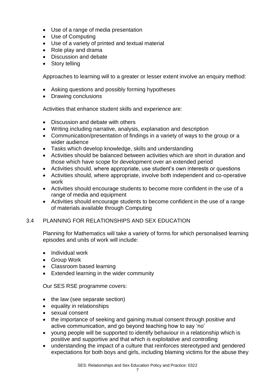- Use of a range of media presentation
- Use of Computing
- Use of a variety of printed and textual material
- Role play and drama
- Discussion and debate
- Story telling

Approaches to learning will to a greater or lesser extent involve an enquiry method:

- Asking questions and possibly forming hypotheses
- Drawing conclusions

Activities that enhance student skills and experience are:

- Discussion and debate with others
- Writing including narrative, analysis, explanation and description
- Communication/presentation of findings in a variety of ways to the group or a wider audience
- Tasks which develop knowledge, skills and understanding
- Activities should be balanced between activities which are short in duration and those which have scope for development over an extended period
- Activities should, where appropriate, use student's own interests or questions
- Activities should, where appropriate, involve both independent and co-operative work
- Activities should encourage students to become more confident in the use of a range of media and equipment
- Activities should encourage students to become confident in the use of a range of materials available through Computing

#### 3.4 PLANNING FOR RELATIONSHIPS AND SEX EDUCATION

Planning for Mathematics will take a variety of forms for which personalised learning episodes and units of work will include:

- Individual work
- Group Work
- Classroom based learning
- Extended learning in the wider community

Our SES RSE programme covers:

- the law (see separate section)
- equality in relationships
- sexual consent
- the importance of seeking and gaining mutual consent through positive and active communication, and go beyond teaching how to say 'no'
- young people will be supported to identify behaviour in a relationship which is positive and supportive and that which is exploitative and controlling
- understanding the impact of a culture that reinforces stereotyped and gendered expectations for both boys and girls, including blaming victims for the abuse they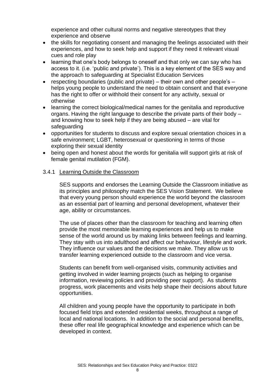experience and other cultural norms and negative stereotypes that they experience and observe

- the skills for negotiating consent and managing the feelings associated with their experiences, and how to seek help and support if they need it relevant visual cues and role play
- learning that one's body belongs to oneself and that only we can say who has access to it. (i.e. 'public and private'). This is a key element of the SES way and the approach to safeguarding at Specialist Education Services
- respecting boundaries (public and private) their own and other people's helps young people to understand the need to obtain consent and that everyone has the right to offer or withhold their consent for any activity, sexual or otherwise
- learning the correct biological/medical names for the genitalia and reproductive organs. Having the right language to describe the private parts of their body – and knowing how to seek help if they are being abused – are vital for safeguarding
- opportunities for students to discuss and explore sexual orientation choices in a safe environment; LGBT, heterosexual or questioning in terms of those exploring their sexual identity
- being open and honest about the words for genitalia will support girls at risk of female genital mutilation (FGM).

#### 3.4.1 Learning Outside the Classroom

SES supports and endorses the Learning Outside the Classroom initiative as its principles and philosophy match the SES Vision Statement. We believe that every young person should experience the world beyond the classroom as an essential part of learning and personal development, whatever their age, ability or circumstances.

The use of places other than the classroom for teaching and learning often provide the most memorable learning experiences and help us to make sense of the world around us by making links between feelings and learning. They stay with us into adulthood and affect our behaviour, lifestyle and work. They influence our values and the decisions we make. They allow us to transfer learning experienced outside to the classroom and vice versa.

Students can benefit from well-organised visits, community activities and getting involved in wider learning projects (such as helping to organise information, reviewing policies and providing peer support). As students progress, work placements and visits help shape their decisions about future opportunities.

All children and young people have the opportunity to participate in both focused field trips and extended residential weeks, throughout a range of local and national locations. In addition to the social and personal benefits, these offer real life geographical knowledge and experience which can be developed in context.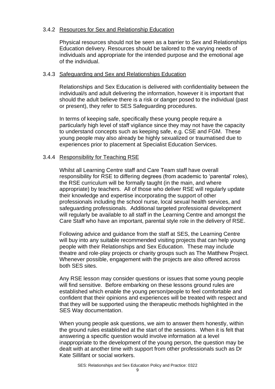#### 3.4.2 Resources for Sex and Relationship Education

Physical resources should not be seen as a barrier to Sex and Relationships Education delivery. Resources should be tailored to the varying needs of individuals and appropriate for the intended purpose and the emotional age of the individual.

#### 3.4.3 Safeguarding and Sex and Relationships Education

Relationships and Sex Education is delivered with confidentiality between the individual/s and adult delivering the information, however it is important that should the adult believe there is a risk or danger posed to the individual (past or present), they refer to SES Safeguarding procedures.

In terms of keeping safe, specifically these young people require a particularly high level of staff vigilance since they may not have the capacity to understand concepts such as keeping safe, e.g. CSE and FGM. These young people may also already be highly sexualized or traumatised due to experiences prior to placement at Specialist Education Services.

#### 3.4.4 Responsibility for Teaching RSE

Whilst all Learning Centre staff and Care Team staff have overall responsibility for RSE to differing degrees (from academic to 'parental' roles), the RSE curriculum will be formally taught (in the main, and where appropriate) by teachers. All of those who deliver RSE will regularly update their knowledge and expertise incorporating the support of other professionals including the school nurse, local sexual health services, and safeguarding professionals. Additional targeted professional development will regularly be available to all staff in the Learning Centre and amongst the Care Staff who have an important, parental style role in the delivery of RSE.

Following advice and guidance from the staff at SES, the Learning Centre will buy into any suitable recommended visiting projects that can help young people with their Relationships and Sex Education. These may include theatre and role-play projects or charity groups such as The Matthew Project. Whenever possible, engagement with the projects are also offered across both SES sites.

Any RSE lesson may consider questions or issues that some young people will find sensitive. Before embarking on these lessons ground rules are established which enable the young person/people to feel comfortable and confident that their opinions and experiences will be treated with respect and that they will be supported using the therapeutic methods highlighted in the SES Way documentation.

When young people ask questions, we aim to answer them honestly, within the ground rules established at the start of the sessions. When it is felt that answering a specific question would involve information at a level inappropriate to the development of the young person, the question may be dealt with at another time with support from other professionals such as Dr Kate Sillifant or social workers.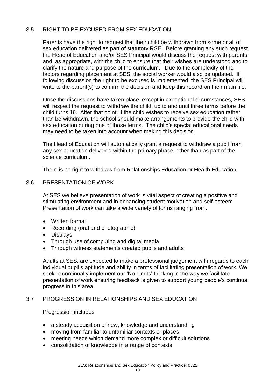#### 3.5 RIGHT TO BE EXCUSED FROM SEX EDUCATION

Parents have the right to request that their child be withdrawn from some or all of sex education delivered as part of statutory RSE. Before granting any such request the Head of Education and/or SES Principal would discuss the request with parents and, as appropriate, with the child to ensure that their wishes are understood and to clarify the nature and purpose of the curriculum. Due to the complexity of the factors regarding placement at SES, the social worker would also be updated. If following discussion the right to be excused is implemented, the SES Principal will write to the parent(s) to confirm the decision and keep this record on their main file.

Once the discussions have taken place, except in exceptional circumstances, SES will respect the request to withdraw the child, up to and until three terms before the child turns 16. After that point, if the child wishes to receive sex education rather than be withdrawn, the school should make arrangements to provide the child with sex education during one of those terms. The child's special educational needs may need to be taken into account when making this decision.

The Head of Education will automatically grant a request to withdraw a pupil from any sex education delivered within the primary phase, other than as part of the science curriculum.

There is no right to withdraw from Relationships Education or Health Education.

#### 3.6 PRESENTATION OF WORK

At SES we believe presentation of work is vital aspect of creating a positive and stimulating environment and in enhancing student motivation and self-esteem. Presentation of work can take a wide variety of forms ranging from:

- Written format
- Recording (oral and photographic)
- Displays
- Through use of computing and digital media
- Through witness statements created pupils and adults

Adults at SES, are expected to make a professional judgement with regards to each individual pupil's aptitude and ability in terms of facilitating presentation of work. We seek to continually implement our 'No Limits' thinking in the way we facilitate presentation of work ensuring feedback is given to support young people's continual progress in this area.

#### 3.7 PROGRESSION IN RELATIONSHIPS AND SEX EDUCATION

Progression includes:

- a steady acquisition of new, knowledge and understanding
- moving from familiar to unfamiliar contexts or places
- meeting needs which demand more complex or difficult solutions
- consolidation of knowledge in a range of contexts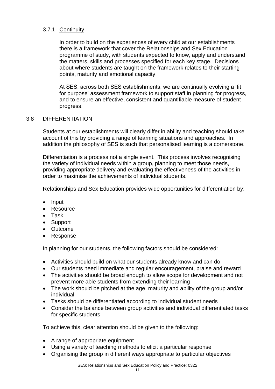#### 3.7.1 Continuity

In order to build on the experiences of every child at our establishments there is a framework that cover the Relationships and Sex Education programme of study, with students expected to know, apply and understand the matters, skills and processes specified for each key stage. Decisions about where students are taught on the framework relates to their starting points, maturity and emotional capacity.

At SES, across both SES establishments, we are continually evolving a 'fit for purpose' assessment framework to support staff in planning for progress, and to ensure an effective, consistent and quantifiable measure of student progress.

#### 3.8 DIFFERENTIATION

Students at our establishments will clearly differ in ability and teaching should take account of this by providing a range of learning situations and approaches. In addition the philosophy of SES is such that personalised learning is a cornerstone.

Differentiation is a process not a single event. This process involves recognising the variety of individual needs within a group, planning to meet those needs, providing appropriate delivery and evaluating the effectiveness of the activities in order to maximise the achievements of individual students.

Relationships and Sex Education provides wide opportunities for differentiation by:

- Input
- Resource
- Task
- Support
- Outcome
- Response

In planning for our students, the following factors should be considered:

- Activities should build on what our students already know and can do
- Our students need immediate and regular encouragement, praise and reward
- The activities should be broad enough to allow scope for development and not prevent more able students from extending their learning
- The work should be pitched at the age, maturity and ability of the group and/or individual
- Tasks should be differentiated according to individual student needs
- Consider the balance between group activities and individual differentiated tasks for specific students

To achieve this, clear attention should be given to the following:

- A range of appropriate equipment
- Using a variety of teaching methods to elicit a particular response
- Organising the group in different ways appropriate to particular objectives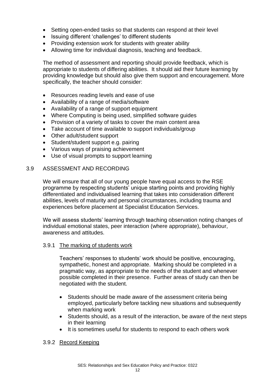- Setting open-ended tasks so that students can respond at their level
- Issuing different 'challenges' to different students
- Providing extension work for students with greater ability
- Allowing time for individual diagnosis, teaching and feedback.

The method of assessment and reporting should provide feedback, which is appropriate to students of differing abilities. It should aid their future learning by providing knowledge but should also give them support and encouragement. More specifically, the teacher should consider:

- Resources reading levels and ease of use
- Availability of a range of media/software
- Availability of a range of support equipment
- Where Computing is being used, simplified software guides
- Provision of a variety of tasks to cover the main content area
- Take account of time available to support individuals/group
- Other adult/student support
- Student/student support e.g. pairing
- Various ways of praising achievement
- Use of visual prompts to support learning

#### 3.9 ASSESSMENT AND RECORDING

We will ensure that all of our young people have equal access to the RSE programme by respecting students' unique starting points and providing highly differentiated and individualised learning that takes into consideration different abilities, levels of maturity and personal circumstances, including trauma and experiences before placement at Specialist Education Services.

We will assess students' learning through teaching observation noting changes of individual emotional states, peer interaction (where appropriate), behaviour, awareness and attitudes.

#### 3.9.1 The marking of students work

Teachers' responses to students' work should be positive, encouraging, sympathetic, honest and appropriate. Marking should be completed in a pragmatic way, as appropriate to the needs of the student and whenever possible completed in their presence. Further areas of study can then be negotiated with the student.

- Students should be made aware of the assessment criteria being employed, particularly before tackling new situations and subsequently when marking work
- Students should, as a result of the interaction, be aware of the next steps in their learning
- It is sometimes useful for students to respond to each others work

#### 3.9.2 Record Keeping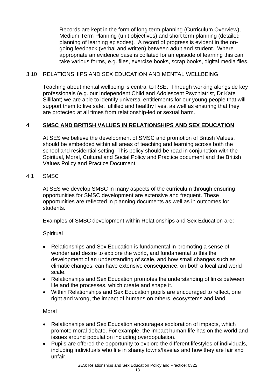Records are kept in the form of long term planning (Curriculum Overview), Medium Term Planning (unit objectives) and short term planning (detailed planning of learning episodes). A record of progress is evident in the ongoing feedback (verbal and written) between adult and student. Where appropriate an evidence base is collated for an episode of learning this can take various forms, e.g. files, exercise books, scrap books, digital media files.

#### 3.10 RELATIONSHIPS AND SEX EDUCATION AND MENTAL WELLBEING

Teaching about mental wellbeing is central to RSE. Through working alongside key professionals (e.g. our Independent Child and Adolescent Psychiatrist, Dr Kate Sillifant) we are able to identify universal entitlements for our young people that will support them to live safe, fulfilled and healthy lives, as well as ensuring that they are protected at all times from relationship-led or sexual harm.

#### **4 SMSC AND BRITISH VALUES IN RELATIONSHIPS AND SEX EDUCATION**

At SES we believe the development of SMSC and promotion of British Values, should be embedded within all areas of teaching and learning across both the school and residential setting. This policy should be read in conjunction with the Spiritual, Moral, Cultural and Social Policy and Practice document and the British Values Policy and Practice Document.

#### 4.1 SMSC

At SES we develop SMSC in many aspects of the curriculum through ensuring opportunities for SMSC development are extensive and frequent. These opportunities are reflected in planning documents as well as in outcomes for students.

Examples of SMSC development within Relationships and Sex Education are:

#### **Spiritual**

- Relationships and Sex Education is fundamental in promoting a sense of wonder and desire to explore the world, and fundamental to this the development of an understanding of scale, and how small changes such as climatic changes, can have extensive consequence, on both a local and world scale.
- Relationships and Sex Education promotes the understanding of links between life and the processes, which create and shape it.
- Within Relationships and Sex Education pupils are encouraged to reflect, one right and wrong, the impact of humans on others, ecosystems and land.

#### **Moral**

- Relationships and Sex Education encourages exploration of impacts, which promote moral debate. For example, the impact human life has on the world and issues around population including overpopulation.
- Pupils are offered the opportunity to explore the different lifestyles of individuals, including individuals who life in shanty towns/favelas and how they are fair and unfair.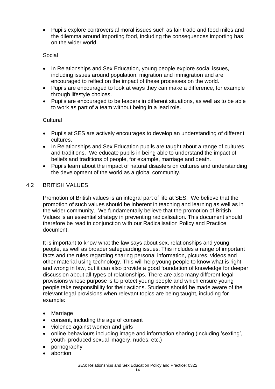• Pupils explore controversial moral issues such as fair trade and food miles and the dilemma around importing food, including the consequences importing has on the wider world.

#### Social

- In Relationships and Sex Education, young people explore social issues, including issues around population, migration and immigration and are encouraged to reflect on the impact of these processes on the world.
- Pupils are encouraged to look at ways they can make a difference, for example through lifestyle choices.
- Pupils are encouraged to be leaders in different situations, as well as to be able to work as part of a team without being in a lead role.

#### **Cultural**

- Pupils at SES are actively encourages to develop an understanding of different cultures.
- In Relationships and Sex Education pupils are taught about a range of cultures and traditions. We educate pupils in being able to understand the impact of beliefs and traditions of people, for example, marriage and death.
- Pupils learn about the impact of natural disasters on cultures and understanding the development of the world as a global community.

#### 4.2 BRITISH VALUES

Promotion of British values is an integral part of life at SES. We believe that the promotion of such values should be inherent in teaching and learning as well as in the wider community. We fundamentally believe that the promotion of British Values is an essential strategy in preventing radicalisation. This document should therefore be read in conjunction with our Radicalisation Policy and Practice document.

It is important to know what the law says about sex, relationships and young people, as well as broader safeguarding issues. This includes a range of important facts and the rules regarding sharing personal information, pictures, videos and other material using technology. This will help young people to know what is right and wrong in law, but it can also provide a good foundation of knowledge for deeper discussion about all types of relationships. There are also many different legal provisions whose purpose is to protect young people and which ensure young people take responsibility for their actions. Students should be made aware of the relevant legal provisions when relevant topics are being taught, including for example:

- Marriage
- consent, including the age of consent
- violence against women and girls
- online behaviours including image and information sharing (including 'sexting', youth- produced sexual imagery, nudes, etc.)
- pornography
- abortion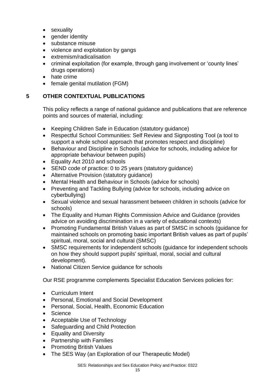- sexuality
- gender identity
- substance misuse
- violence and exploitation by gangs
- extremism/radicalisation
- criminal exploitation (for example, through gang involvement or 'county lines' drugs operations)
- hate crime
- female genital mutilation (FGM)

#### **5 OTHER CONTEXTUAL PUBLICATIONS**

This policy reflects a range of national guidance and publications that are reference points and sources of material, including:

- Keeping Children Safe in Education (statutory guidance)
- Respectful School Communities: Self Review and Signposting Tool (a tool to support a whole school approach that promotes respect and discipline)
- Behaviour and Discipline in Schools (advice for schools, including advice for appropriate behaviour between pupils)
- Equality Act 2010 and schools
- SEND code of practice: 0 to 25 years (statutory guidance)
- Alternative Provision (statutory quidance)
- Mental Health and Behaviour in Schools (advice for schools)
- Preventing and Tackling Bullying (advice for schools, including advice on cyberbullying)
- Sexual violence and sexual harassment between children in schools (advice for schools)
- The Equality and Human Rights Commission Advice and Guidance (provides advice on avoiding discrimination in a variety of educational contexts)
- Promoting Fundamental British Values as part of SMSC in schools (guidance for maintained schools on promoting basic important British values as part of pupils' spiritual, moral, social and cultural (SMSC)
- SMSC requirements for independent schools (guidance for independent schools on how they should support pupils' spiritual, moral, social and cultural development).
- National Citizen Service guidance for schools

Our RSE programme complements Specialist Education Services policies for:

- Curriculum Intent
- Personal, Emotional and Social Development
- Personal, Social, Health, Economic Education
- Science
- Acceptable Use of Technology
- Safeguarding and Child Protection
- Equality and Diversity
- Partnership with Families
- Promoting British Values
- The SES Way (an Exploration of our Therapeutic Model)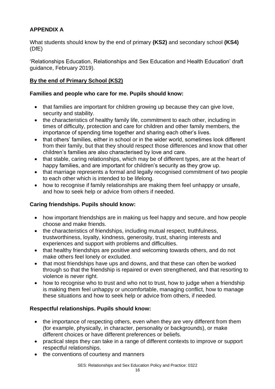#### **APPENDIX A**

What students should know by the end of primary **(KS2)** and secondary school **(KS4)** (DfE)

'Relationships Education, Relationships and Sex Education and Health Education' draft guidance, February 2019).

#### **By the end of Primary School (KS2)**

#### **Families and people who care for me. Pupils should know:**

- that families are important for children growing up because they can give love, security and stability.
- the characteristics of healthy family life, commitment to each other, including in times of difficulty, protection and care for children and other family members, the importance of spending time together and sharing each other's lives.
- that others' families, either in school or in the wider world, sometimes look different from their family, but that they should respect those differences and know that other children's families are also characterised by love and care.
- that stable, caring relationships, which may be of different types, are at the heart of happy families, and are important for children's security as they grow up.
- that marriage represents a formal and legally recognised commitment of two people to each other which is intended to be lifelong.
- how to recognise if family relationships are making them feel unhappy or unsafe, and how to seek help or advice from others if needed.

#### **Caring friendships. Pupils should know:**

- how important friendships are in making us feel happy and secure, and how people choose and make friends.
- the characteristics of friendships, including mutual respect, truthfulness, trustworthiness, loyalty, kindness, generosity, trust, sharing interests and experiences and support with problems and difficulties.
- that healthy friendships are positive and welcoming towards others, and do not make others feel lonely or excluded.
- that most friendships have ups and downs, and that these can often be worked through so that the friendship is repaired or even strengthened, and that resorting to violence is never right.
- how to recognise who to trust and who not to trust, how to judge when a friendship is making them feel unhappy or uncomfortable, managing conflict, how to manage these situations and how to seek help or advice from others, if needed.

#### **Respectful relationships. Pupils should know:**

- the importance of respecting others, even when they are very different from them (for example, physically, in character, personality or backgrounds), or make different choices or have different preferences or beliefs.
- practical steps they can take in a range of different contexts to improve or support respectful relationships.
- the conventions of courtesy and manners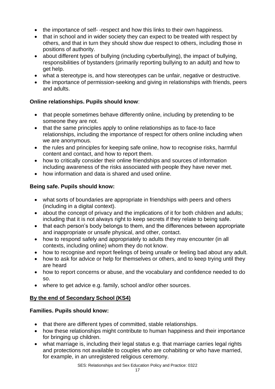- the importance of self--respect and how this links to their own happiness.
- that in school and in wider society they can expect to be treated with respect by others, and that in turn they should show due respect to others, including those in positions of authority.
- about different types of bullying (including cyberbullying), the impact of bullying, responsibilities of bystanders (primarily reporting bullying to an adult) and how to get help.
- what a stereotype is, and how stereotypes can be unfair, negative or destructive.
- the importance of permission-seeking and giving in relationships with friends, peers and adults.

#### **Online relationships. Pupils should know**:

- that people sometimes behave differently online, including by pretending to be someone they are not.
- that the same principles apply to online relationships as to face-to face relationships, including the importance of respect for others online including when we are anonymous.
- the rules and principles for keeping safe online, how to recognise risks, harmful content and contact, and how to report them.
- how to critically consider their online friendships and sources of information including awareness of the risks associated with people they have never met.
- how information and data is shared and used online.

#### **Being safe. Pupils should know:**

- what sorts of boundaries are appropriate in friendships with peers and others (including in a digital context).
- about the concept of privacy and the implications of it for both children and adults; including that it is not always right to keep secrets if they relate to being safe.
- that each person's body belongs to them, and the differences between appropriate and inappropriate or unsafe physical, and other, contact.
- how to respond safely and appropriately to adults they may encounter (in all contexts, including online) whom they do not know.
- how to recognise and report feelings of being unsafe or feeling bad about any adult.
- how to ask for advice or help for themselves or others, and to keep trying until they are heard
- how to report concerns or abuse, and the vocabulary and confidence needed to do so.
- where to get advice e.g. family, school and/or other sources.

#### **By the end of Secondary School (KS4)**

#### **Families. Pupils should know:**

- that there are different types of committed, stable relationships.
- how these relationships might contribute to human happiness and their importance for bringing up children.
- what marriage is, including their legal status e.g. that marriage carries legal rights and protections not available to couples who are cohabiting or who have married, for example, in an unregistered religious ceremony.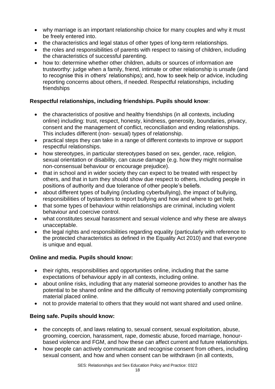- why marriage is an important relationship choice for many couples and why it must be freely entered into.
- the characteristics and legal status of other types of long-term relationships.
- the roles and responsibilities of parents with respect to raising of children, including the characteristics of successful parenting.
- how to: determine whether other children, adults or sources of information are trustworthy: judge when a family, friend, intimate or other relationship is unsafe (and to recognise this in others' relationships); and, how to seek help or advice, including reporting concerns about others, if needed. Respectful relationships, including friendships

#### **Respectful relationships, including friendships. Pupils should know**:

- the characteristics of positive and healthy friendships (in all contexts, including online) including: trust, respect, honesty, kindness, generosity, boundaries, privacy, consent and the management of conflict, reconciliation and ending relationships. This includes different (non- sexual) types of relationship.
- practical steps they can take in a range of different contexts to improve or support respectful relationships.
- how stereotypes, in particular stereotypes based on sex, gender, race, religion, sexual orientation or disability, can cause damage (e.g. how they might normalise non-consensual behaviour or encourage prejudice).
- that in school and in wider society they can expect to be treated with respect by others, and that in turn they should show due respect to others, including people in positions of authority and due tolerance of other people's beliefs.
- about different types of bullying (including cyberbullying), the impact of bullying, responsibilities of bystanders to report bullying and how and where to get help.
- that some types of behaviour within relationships are criminal, including violent behaviour and coercive control.
- what constitutes sexual harassment and sexual violence and why these are always unacceptable.
- the legal rights and responsibilities regarding equality (particularly with reference to the protected characteristics as defined in the Equality Act 2010) and that everyone is unique and equal.

#### **Online and media. Pupils should know:**

- their rights, responsibilities and opportunities online, including that the same expectations of behaviour apply in all contexts, including online.
- about online risks, including that any material someone provides to another has the potential to be shared online and the difficulty of removing potentially compromising material placed online.
- not to provide material to others that they would not want shared and used online.

#### **Being safe. Pupils should know:**

- the concepts of, and laws relating to, sexual consent, sexual exploitation, abuse, grooming, coercion, harassment, rape, domestic abuse, forced marriage, honourbased violence and FGM, and how these can affect current and future relationships.
- how people can actively communicate and recognise consent from others, including sexual consent, and how and when consent can be withdrawn (in all contexts,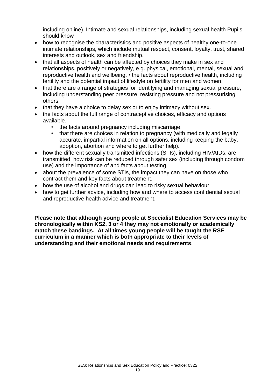including online). Intimate and sexual relationships, including sexual health Pupils should know

- how to recognise the characteristics and positive aspects of healthy one-to-one intimate relationships, which include mutual respect, consent, loyalty, trust, shared interests and outlook, sex and friendship.
- that all aspects of health can be affected by choices they make in sex and relationships, positively or negatively, e.g. physical, emotional, mental, sexual and reproductive health and wellbeing. • the facts about reproductive health, including fertility and the potential impact of lifestyle on fertility for men and women.
- that there are a range of strategies for identifying and managing sexual pressure, including understanding peer pressure, resisting pressure and not pressurising others.
- that they have a choice to delay sex or to enjoy intimacy without sex.
- the facts about the full range of contraceptive choices, efficacy and options available.
	- the facts around pregnancy including miscarriage.
	- that there are choices in relation to pregnancy (with medically and legally accurate, impartial information on all options, including keeping the baby, adoption, abortion and where to get further help).
- how the different sexually transmitted infections (STIs), including HIV/AIDs, are transmitted, how risk can be reduced through safer sex (including through condom use) and the importance of and facts about testing.
- about the prevalence of some STIs, the impact they can have on those who contract them and key facts about treatment.
- how the use of alcohol and drugs can lead to risky sexual behaviour.
- how to get further advice, including how and where to access confidential sexual and reproductive health advice and treatment.

**Please note that although young people at Specialist Education Services may be chronologically within KS2, 3 or 4 they may not emotionally or academically match these bandings. At all times young people will be taught the RSE curriculum in a manner which is both appropriate to their levels of understanding and their emotional needs and requirements***.*